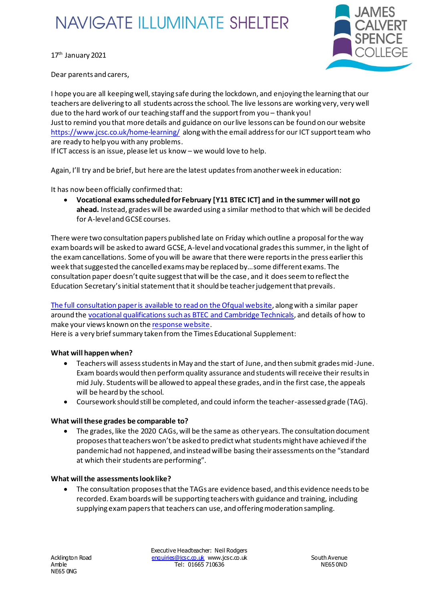# **NAVIGATE ILLUMINATE SHELTER**



17<sup>th</sup> January 2021

Dear parents and carers,

I hope you are all keeping well, staying safe during the lockdown, and enjoying the learning that our teachers are delivering to all students across the school. The live lessons are working very, very well due to the hard work of our teaching staff and the support from you – thank you! Just to remind you that more details and guidance on our live lessons can be found on our website https://www.jcsc.co.uk/home-learning/ along with the email address for our ICT support team who are ready to help you with any problems.

If ICT access is an issue, please let us know – we would love to help.

Again, I'll try and be brief, but here are the latest updatesfrom another week in education:

It has now been officially confirmed that:

• **Vocational exams scheduled for February [Y11 BTEC ICT] and in the summer will not go ahead.** Instead, grades will be awarded using a similar method to that which will be decided for A-level and GCSE courses.

There were two consultation papers published late on Friday which outline a proposal for the way exam boards will be asked to award GCSE, A-level and vocational grades this summer, in the light of the exam cancellations. Some of you will be aware that there were reports in the press earlier this week that suggested the cancelled exams may be replaced by…some different exams. The consultation paper doesn't quite suggest that will be the case, and it doesseem to reflectthe Education Secretary'sinitial statementthat it should be teacher judgement that prevails.

The full consultation paper is available to read on the Ofqual website, along with a similar paper around the vocational qualifications such as BTEC and Cambridge Technicals, and details of how to make your views known on the response website.

Here is a very brief summary taken from the Times Educational Supplement:

### **What will happen when?**

- Teachers will assess students in May and the start of June, and then submit grades mid-June. Exam boards would then perform quality assurance and students will receive their results in mid July. Students will be allowed to appeal these grades, and in the first case, the appeals will be heard by the school.
- Coursework should still be completed, and could inform the teacher-assessed grade (TAG).

### **What will these grades be comparable to?**

• The grades, like the 2020 CAGs, will be the same as other years. The consultation document proposes that teachers won't be asked to predict what students might have achieved if the pandemic had not happened, and instead will be basing their assessments on the "standard at which their students are performing".

### **What will the assessments look like?**

• The consultation proposes that the TAGs are evidence based, and this evidence needs to be recorded. Exam boards will be supporting teachers with guidance and training, including supplying exam papers that teachers can use, and offering moderation sampling.